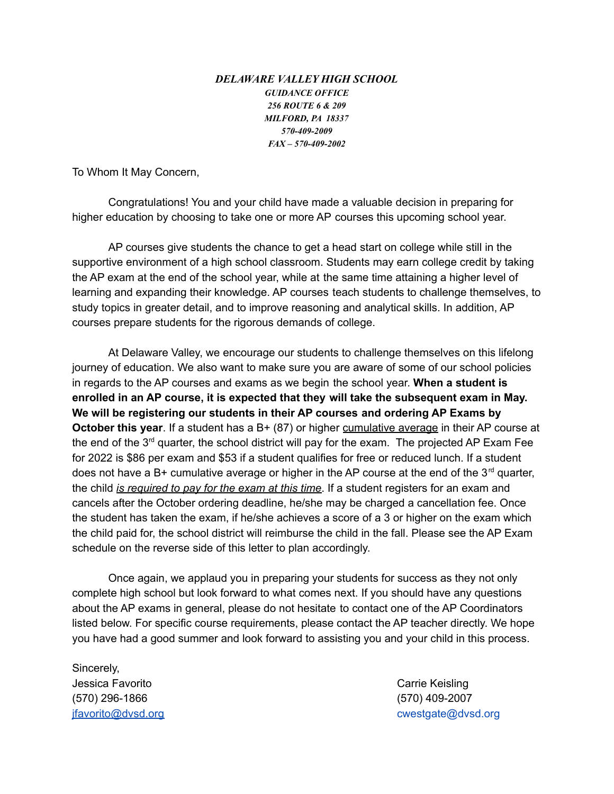## *DELAWARE VALLEY HIGH SCHOOL GUIDANCE OFFICE 256 ROUTE 6 & 209 MILFORD, PA 18337 570-409-2009 FAX – 570-409-2002*

To Whom It May Concern,

Congratulations! You and your child have made a valuable decision in preparing for higher education by choosing to take one or more AP courses this upcoming school year.

AP courses give students the chance to get a head start on college while still in the supportive environment of a high school classroom. Students may earn college credit by taking the AP exam at the end of the school year, while at the same time attaining a higher level of learning and expanding their knowledge. AP courses teach students to challenge themselves, to study topics in greater detail, and to improve reasoning and analytical skills. In addition, AP courses prepare students for the rigorous demands of college.

At Delaware Valley, we encourage our students to challenge themselves on this lifelong journey of education. We also want to make sure you are aware of some of our school policies in regards to the AP courses and exams as we begin the school year. **When a student is enrolled in an AP course, it is expected that they will take the subsequent exam in May. We will be registering our students in their AP courses and ordering AP Exams by October this year**. If a student has a B+ (87) or higher cumulative average in their AP course at the end of the  $3<sup>rd</sup>$  quarter, the school district will pay for the exam. The projected AP Exam Fee for 2022 is \$86 per exam and \$53 if a student qualifies for free or reduced lunch. If a student does not have a B+ cumulative average or higher in the AP course at the end of the  $3<sup>rd</sup>$  quarter, the child *is required to pay for the exam at this time*. If a student registers for an exam and cancels after the October ordering deadline, he/she may be charged a cancellation fee. Once the student has taken the exam, if he/she achieves a score of a 3 or higher on the exam which the child paid for, the school district will reimburse the child in the fall. Please see the AP Exam schedule on the reverse side of this letter to plan accordingly.

Once again, we applaud you in preparing your students for success as they not only complete high school but look forward to what comes next. If you should have any questions about the AP exams in general, please do not hesitate to contact one of the AP Coordinators listed below. For specific course requirements, please contact the AP teacher directly. We hope you have had a good summer and look forward to assisting you and your child in this process.

Sincerely, Jessica Favorito **Carrie Keisling** (570) 296-1866 (570) 409-2007

jfavorito@dvsd.org cwestgate@dvsd.org